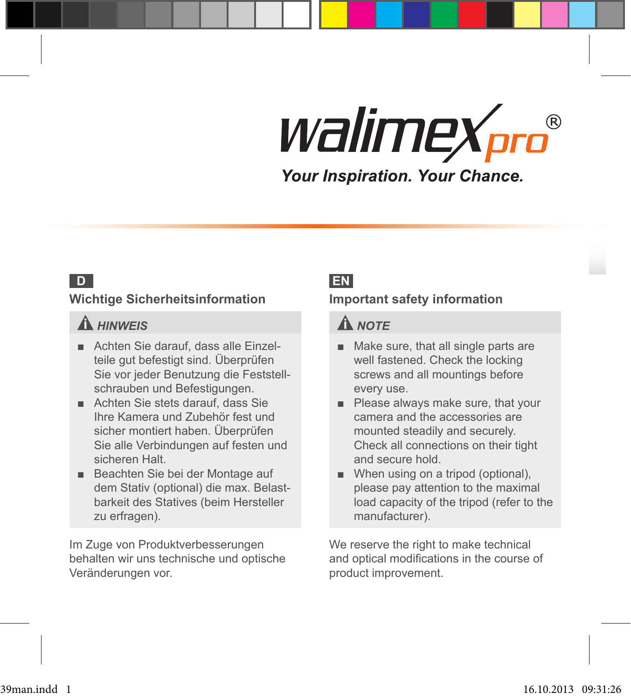**D**

#### **Wichtige Sicherheitsinformation**

### *HINWEIS*

- **■** Achten Sie darauf, dass alle Einzelteile gut befestigt sind. Überprüfen Sie vor jeder Benutzung die Feststellschrauben und Befestigungen.
- **■** Achten Sie stets darauf, dass Sie Ihre Kamera und Zubehör fest und sicher montiert haben. Überprüfen Sie alle Verbindungen auf festen und sicheren Halt.
- **■** Beachten Sie bei der Montage auf dem Stativ (optional) die max. Belastbarkeit des Statives (beim Hersteller zu erfragen).

Im Zuge von Produktverbesserungen behalten wir uns technische und optische Veränderungen vor.

#### **EN**

#### **Important safety information**

#### **A** NOTE

- **■** Make sure, that all single parts are well fastened. Check the locking screws and all mountings before every use.
- **■** Please always make sure, that your camera and the accessories are mounted steadily and securely. Check all connections on their tight and secure hold.
- When using on a tripod (optional), please pay attention to the maximal load capacity of the tripod (refer to the manufacturer).

We reserve the right to make technical and optical modifications in the course of product improvement.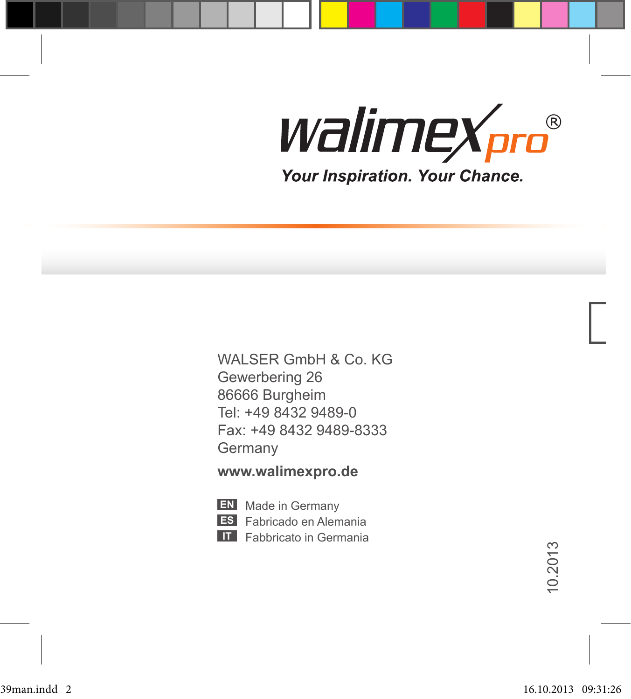WALSER GmbH & Co. KG Gewerbering 26 86666 Burgheim Tel: +49 8432 9489-0 Fax: +49 8432 9489-8333 Germany

#### **www.walimexpro.de**

- **EN** Made in Germany
- **ES** Fabricado en Alemania
- **IT** Fabbricato in Germania

10.2013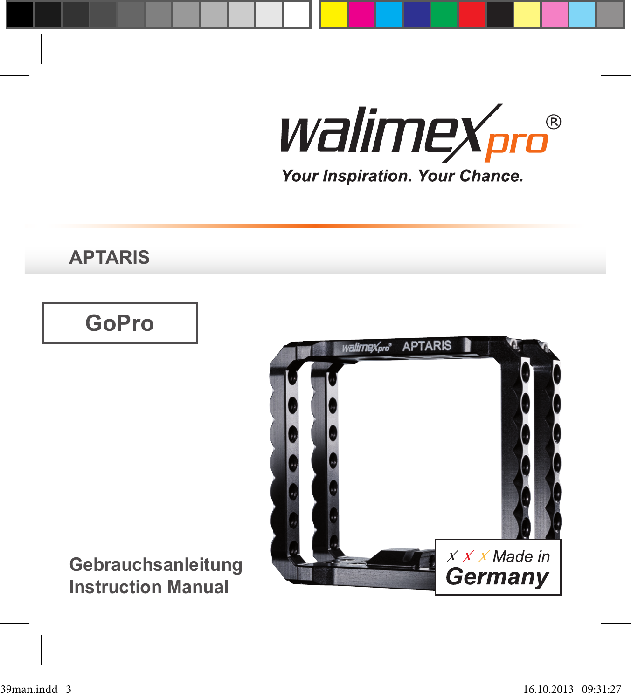**APTARIS**

### **GoPro**



**Gebrauchsanleitung Instruction Manual**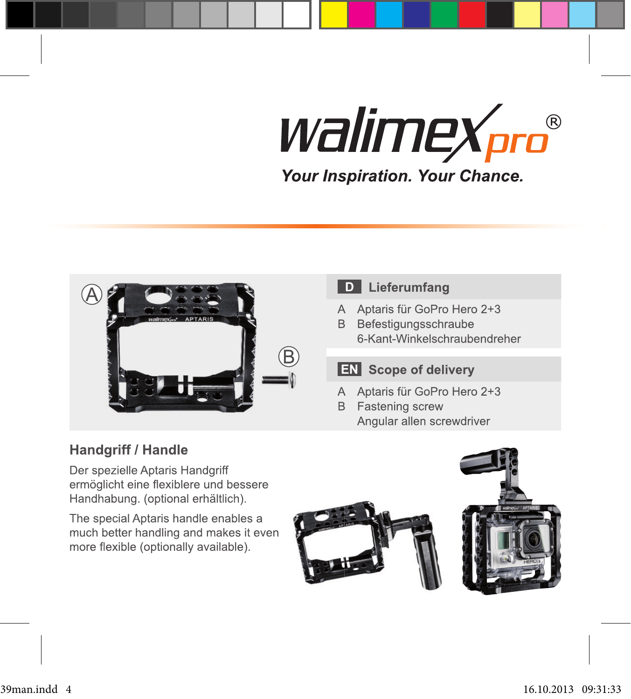

### D Lieferumfang

- A Aptaris für GoPro Hero 2+3
- B Befestigungsschraube 6-Kant-Winkelschraubendreher

### **EN** Scope of delivery

- A Aptaris für GoPro Hero 2+3
- **B** Fastening screw Angular allen screwdriver

### Handgriff / Handle

Der spezielle Aptaris Handgriff ermöglicht eine flexiblere und bessere Handhabung. (optional erhältlich).

The special Aptaris handle enables a much better handling and makes it even more flexible (optionally available).

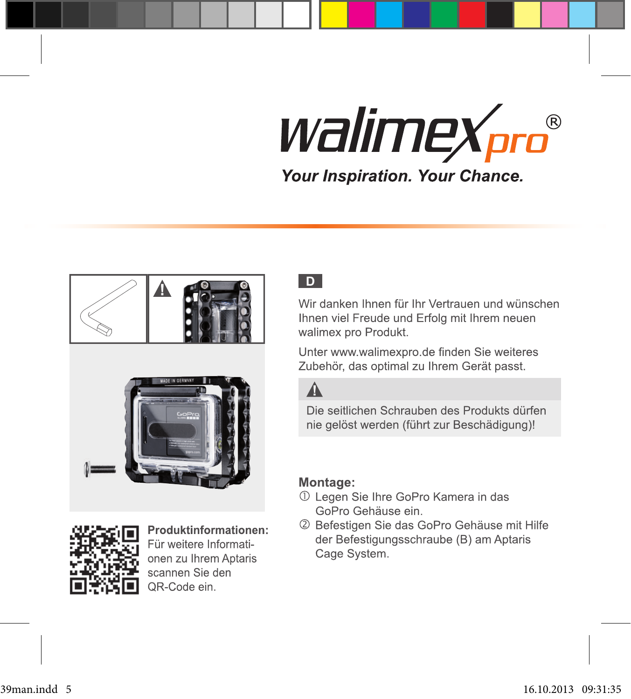# *walimex<sub>pro</sub>®* Your Inspiration. Your Chance.





Produktinformationen: Für weitere Informationen zu Ihrem Aptaris scannen Sie den QR-Code ein.

#### l Di

Wir danken Ihnen für Ihr Vertrauen und wünschen Ihnen viel Freude und Erfolg mit Ihrem neuen walimex pro Produkt.

Unter www.walimexpro.de finden Sie weiteres Zubehör, das optimal zu Ihrem Gerät passt.

### $\Lambda$

Die seitlichen Schrauben des Produkts dürfen nie gelöst werden (führt zur Beschädigung)!

#### Montage:

- 1 Legen Sie Ihre GoPro Kamera in das GoPro Gehäuse ein.
- 2 Befestigen Sie das GoPro Gehäuse mit Hilfe der Befestigungsschraube (B) am Aptaris Cage System.